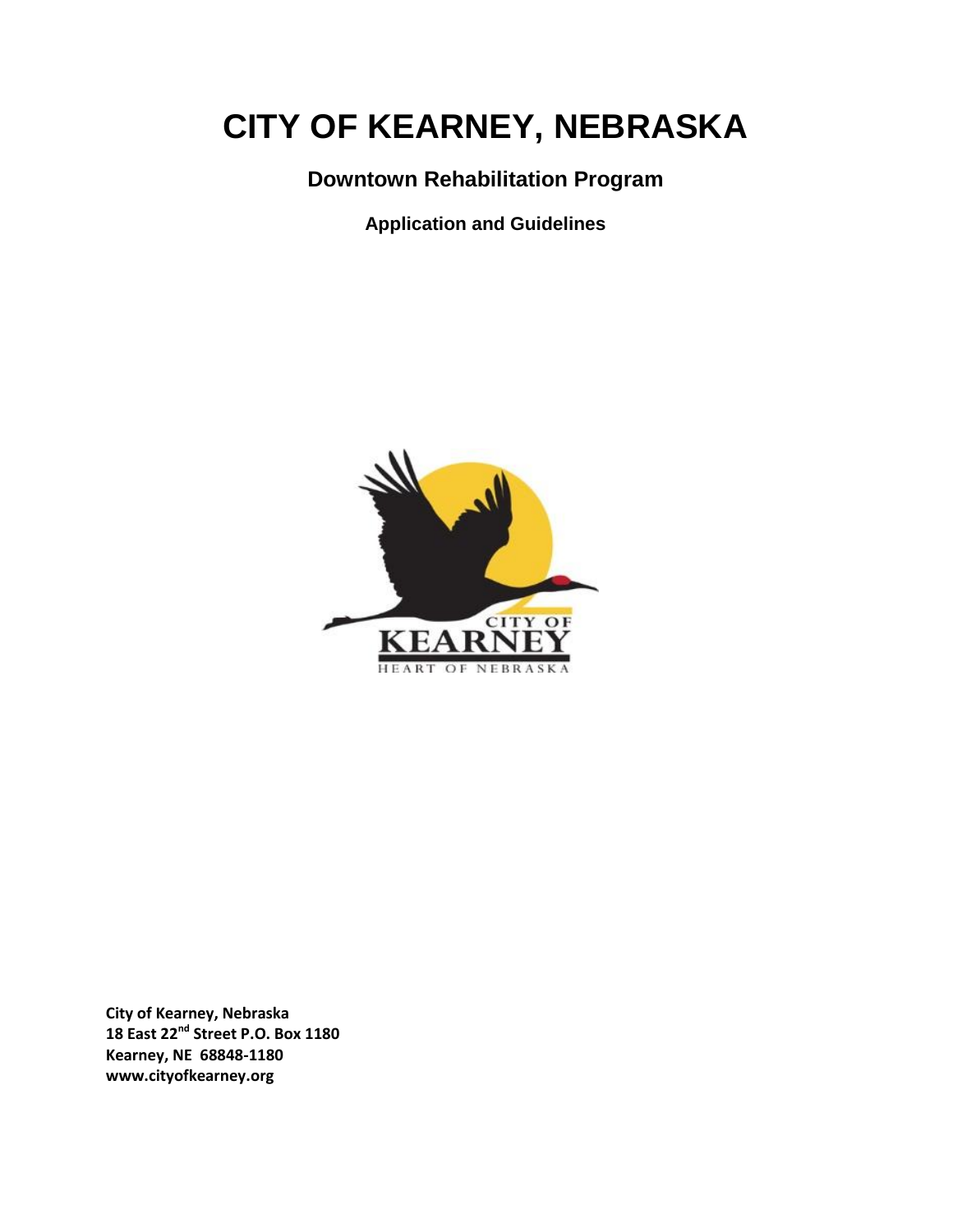# **CITY OF KEARNEY, NEBRASKA**

### **Downtown Rehabilitation Program**

**Application and Guidelines** 



**City of Kearney, Nebraska 18 East 22nd Street P.O. Box 1180 Kearney, NE 68848-1180 www.cityofkearney.org**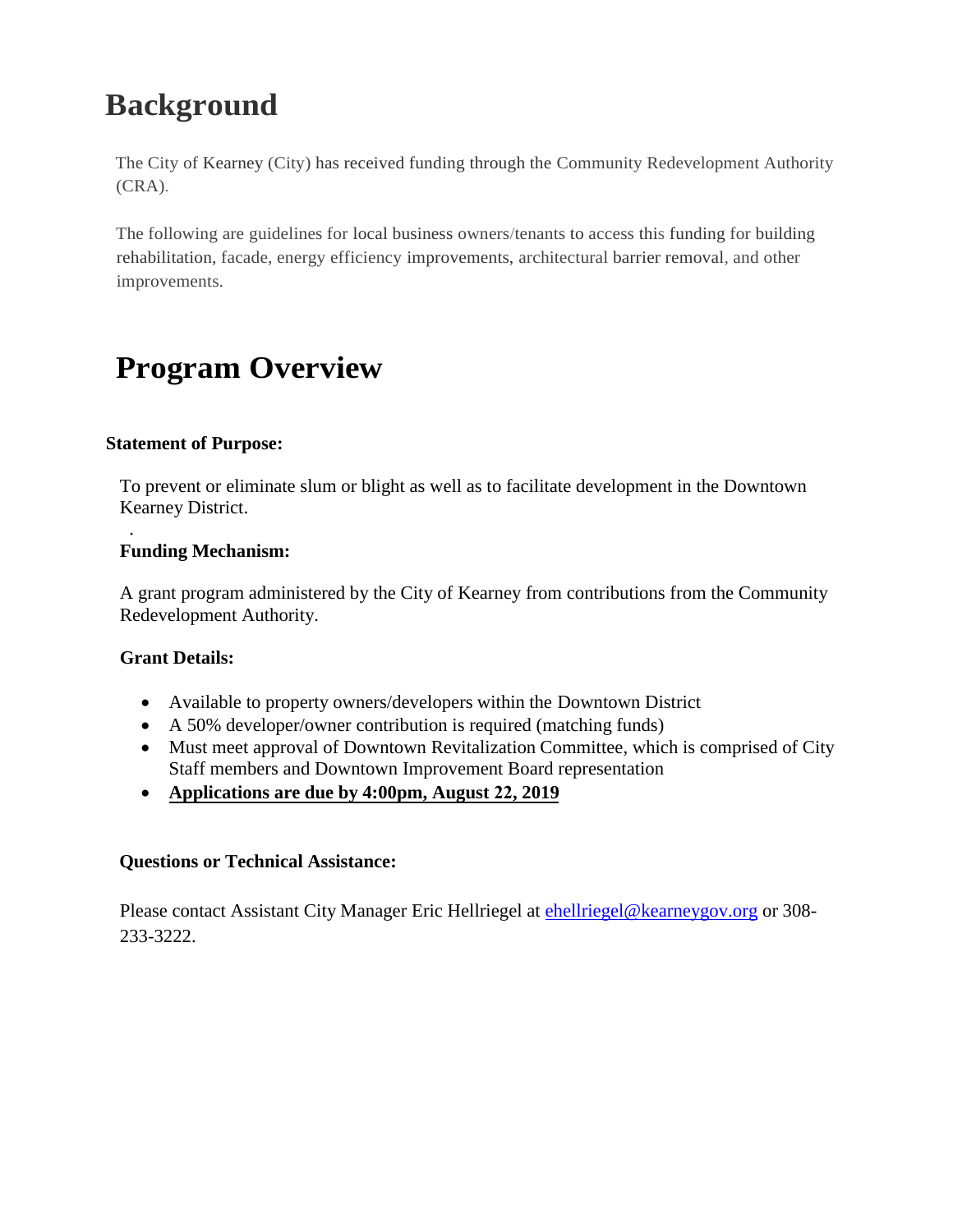## **Background**

The City of Kearney (City) has received funding through the Community Redevelopment Authority (CRA).

The following are guidelines for local business owners/tenants to access this funding for building rehabilitation, facade, energy efficiency improvements, architectural barrier removal, and other improvements.

## **Program Overview**

#### **Statement of Purpose:**

To prevent or eliminate slum or blight as well as to facilitate development in the Downtown Kearney District.

#### . **Funding Mechanism:**

A grant program administered by the City of Kearney from contributions from the Community Redevelopment Authority.

#### **Grant Details:**

- Available to property owners/developers within the Downtown District
- A 50% developer/owner contribution is required (matching funds)
- Must meet approval of Downtown Revitalization Committee, which is comprised of City Staff members and Downtown Improvement Board representation
- **Applications are due by 4:00pm, August 22, 2019**

#### **Questions or Technical Assistance:**

Please contact Assistant City Manager Eric Hellriegel at **chellriegel@kearneygov.org** or 308-233-3222.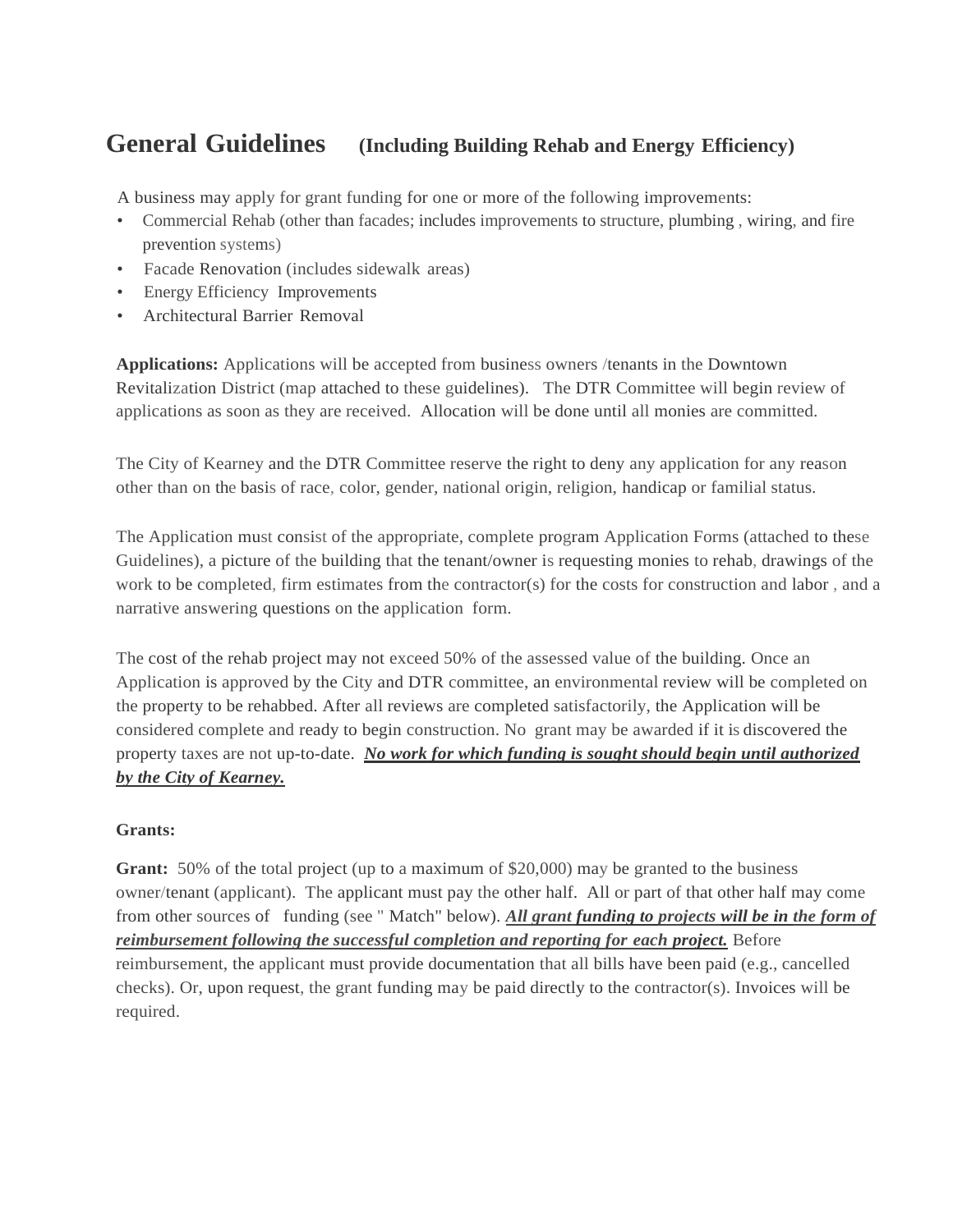### **General Guidelines (Including Building Rehab and Energy Efficiency)**

A business may apply for grant funding for one or more of the following improvements:

- Commercial Rehab (other than facades; includes improvements to structure, plumbing , wiring, and fire prevention systems)
- Facade Renovation (includes sidewalk areas)
- Energy Efficiency Improvements
- Architectural Barrier Removal

**Applications:** Applications will be accepted from business owners /tenants in the Downtown Revitalization District (map attached to these guidelines). The DTR Committee will begin review of applications as soon as they are received. Allocation will be done until all monies are committed.

The City of Kearney and the DTR Committee reserve the right to deny any application for any reason other than on the basis of race, color, gender, national origin, religion, handicap or familial status.

The Application must consist of the appropriate, complete program Application Forms (attached to these Guidelines), a picture of the building that the tenant/owner is requesting monies to rehab, drawings of the work to be completed, firm estimates from the contractor(s) for the costs for construction and labor , and a narrative answering questions on the application form.

The cost of the rehab project may not exceed 50% of the assessed value of the building. Once an Application is approved by the City and DTR committee, an environmental review will be completed on the property to be rehabbed. After all reviews are completed satisfactorily, the Application will be considered complete and ready to begin construction. No grant may be awarded if it is discovered the property taxes are not up-to-date. *No work for which funding is sought should begin until authorized by the City of Kearney.*

#### **Grants:**

**Grant:** 50% of the total project (up to a maximum of \$20,000) may be granted to the business owner/tenant (applicant). The applicant must pay the other half. All or part of that other half may come from other sources of funding (see " Match" below). *All grant funding to projects will be in the form of reimbursement following the successful completion and reporting for each project.* Before reimbursement, the applicant must provide documentation that all bills have been paid (e.g., cancelled checks). Or, upon request, the grant funding may be paid directly to the contractor(s). Invoices will be required.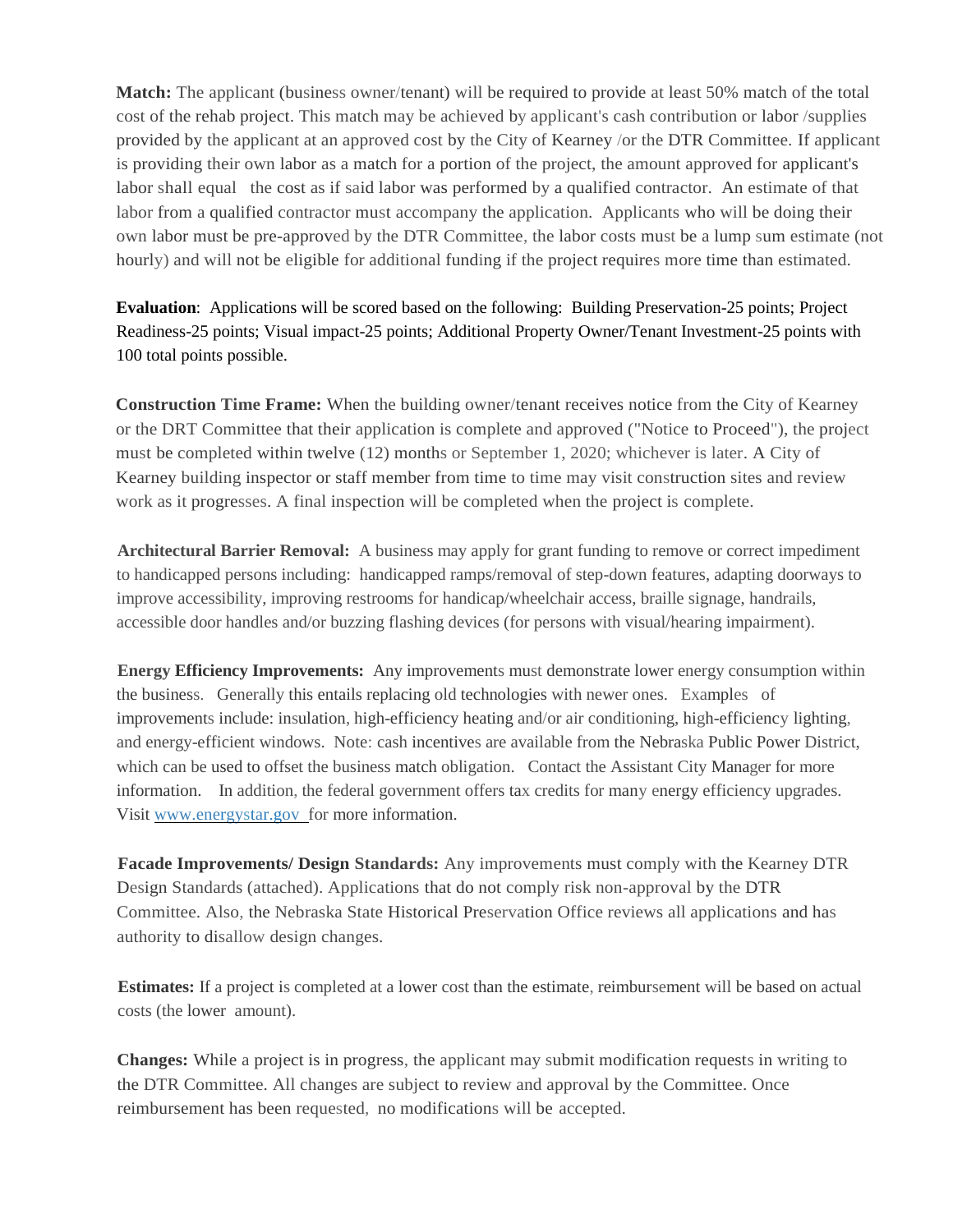**Match:** The applicant (business owner/tenant) will be required to provide at least 50% match of the total cost of the rehab project. This match may be achieved by applicant's cash contribution or labor /supplies provided by the applicant at an approved cost by the City of Kearney /or the DTR Committee. If applicant is providing their own labor as a match for a portion of the project, the amount approved for applicant's labor shall equal the cost as if said labor was performed by a qualified contractor. An estimate of that labor from a qualified contractor must accompany the application. Applicants who will be doing their own labor must be pre-approved by the DTR Committee, the labor costs must be a lump sum estimate (not hourly) and will not be eligible for additional funding if the project requires more time than estimated.

**Evaluation**: Applications will be scored based on the following: Building Preservation-25 points; Project Readiness-25 points; Visual impact-25 points; Additional Property Owner/Tenant Investment-25 points with 100 total points possible.

**Construction Time Frame:** When the building owner/tenant receives notice from the City of Kearney or the DRT Committee that their application is complete and approved ("Notice to Proceed"), the project must be completed within twelve (12) months or September 1, 2020; whichever is later. A City of Kearney building inspector or staff member from time to time may visit construction sites and review work as it progresses. A final inspection will be completed when the project is complete.

**Architectural Barrier Removal:** A business may apply for grant funding to remove or correct impediment to handicapped persons including: handicapped ramps/removal of step-down features, adapting doorways to improve accessibility, improving restrooms for handicap/wheelchair access, braille signage, handrails, accessible door handles and/or buzzing flashing devices (for persons with visual/hearing impairment).

**Energy Efficiency Improvements:** Any improvements must demonstrate lower energy consumption within the business. Generally this entails replacing old technologies with newer ones. Examples of improvements include: insulation, high-efficiency heating and/or air conditioning, high-efficiency lighting, and energy-efficient windows. Note: cash incentives are available from the Nebraska Public Power District, which can be used to offset the business match obligation. Contact the Assistant City Manager for more information. In addition, the federal government offers tax credits for many energy efficiency upgrades. Visit [www.energystar.gov f](http://www.energystar.gov/)or more information.

**Facade Improvements/ Design Standards:** Any improvements must comply with the Kearney DTR Design Standards (attached). Applications that do not comply risk non-approval by the DTR Committee. Also, the Nebraska State Historical Preservation Office reviews all applications and has authority to disallow design changes.

**Estimates:** If a project is completed at a lower cost than the estimate, reimbursement will be based on actual costs (the lower amount).

**Changes:** While a project is in progress, the applicant may submit modification requests in writing to the DTR Committee. All changes are subject to review and approval by the Committee. Once reimbursement has been requested, no modifications will be accepted.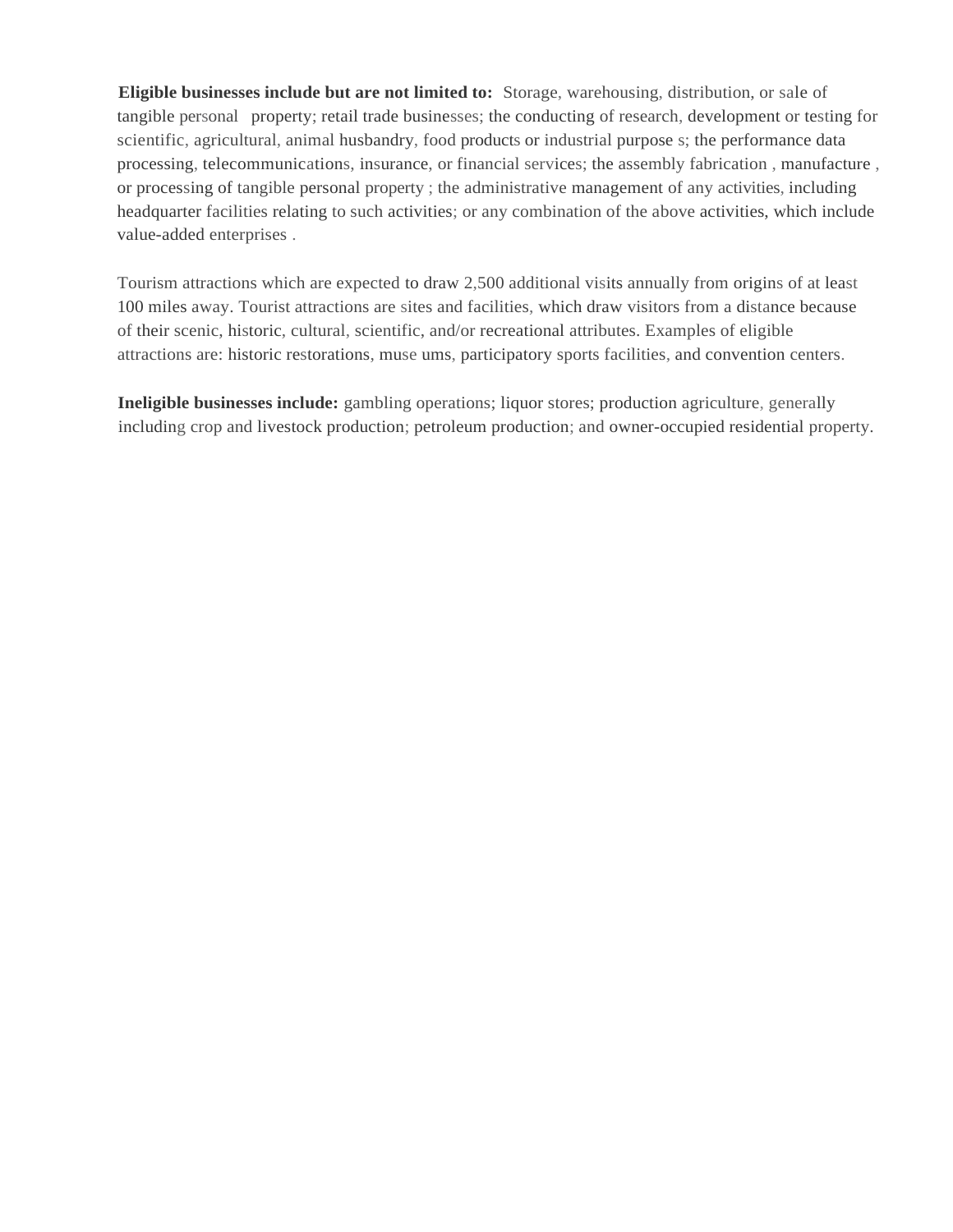**Eligible businesses include but are not limited to:** Storage, warehousing, distribution, or sale of tangible personal property; retail trade businesses; the conducting of research, development or testing for scientific, agricultural, animal husbandry, food products or industrial purpose s; the performance data processing, telecommunications, insurance, or financial services; the assembly fabrication , manufacture , or processing of tangible personal property ; the administrative management of any activities, including headquarter facilities relating to such activities; or any combination of the above activities, which include value-added enterprises .

Tourism attractions which are expected to draw 2,500 additional visits annually from origins of at least 100 miles away. Tourist attractions are sites and facilities, which draw visitors from a distance because of their scenic, historic, cultural, scientific, and/or recreational attributes. Examples of eligible attractions are: historic restorations, muse ums, participatory sports facilities, and convention centers.

**Ineligible businesses include:** gambling operations; liquor stores; production agriculture, generally including crop and livestock production; petroleum production; and owner-occupied residential property.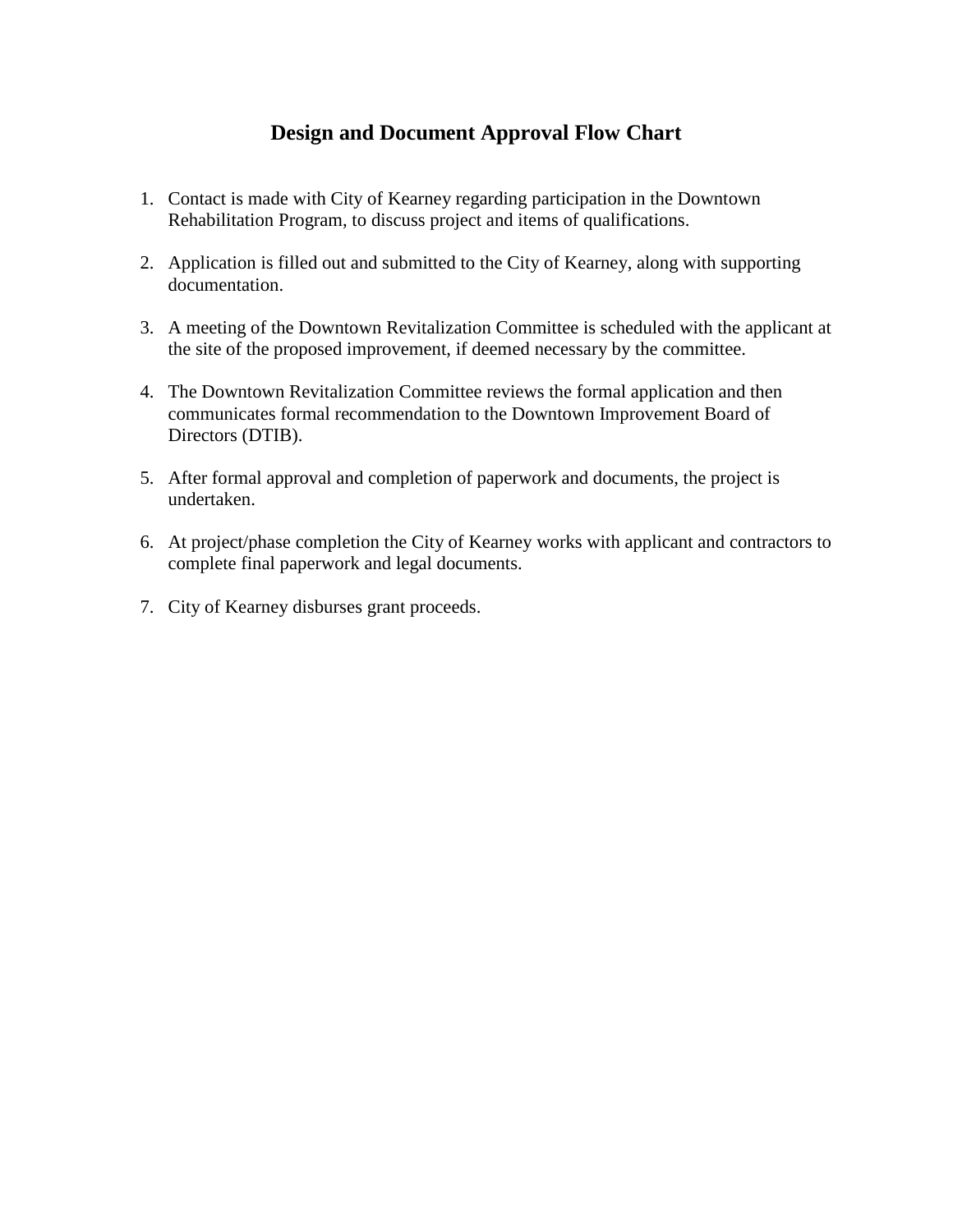#### **Design and Document Approval Flow Chart**

- 1. Contact is made with City of Kearney regarding participation in the Downtown Rehabilitation Program, to discuss project and items of qualifications.
- 2. Application is filled out and submitted to the City of Kearney, along with supporting documentation.
- 3. A meeting of the Downtown Revitalization Committee is scheduled with the applicant at the site of the proposed improvement, if deemed necessary by the committee.
- 4. The Downtown Revitalization Committee reviews the formal application and then communicates formal recommendation to the Downtown Improvement Board of Directors (DTIB).
- 5. After formal approval and completion of paperwork and documents, the project is undertaken.
- 6. At project/phase completion the City of Kearney works with applicant and contractors to complete final paperwork and legal documents.
- 7. City of Kearney disburses grant proceeds.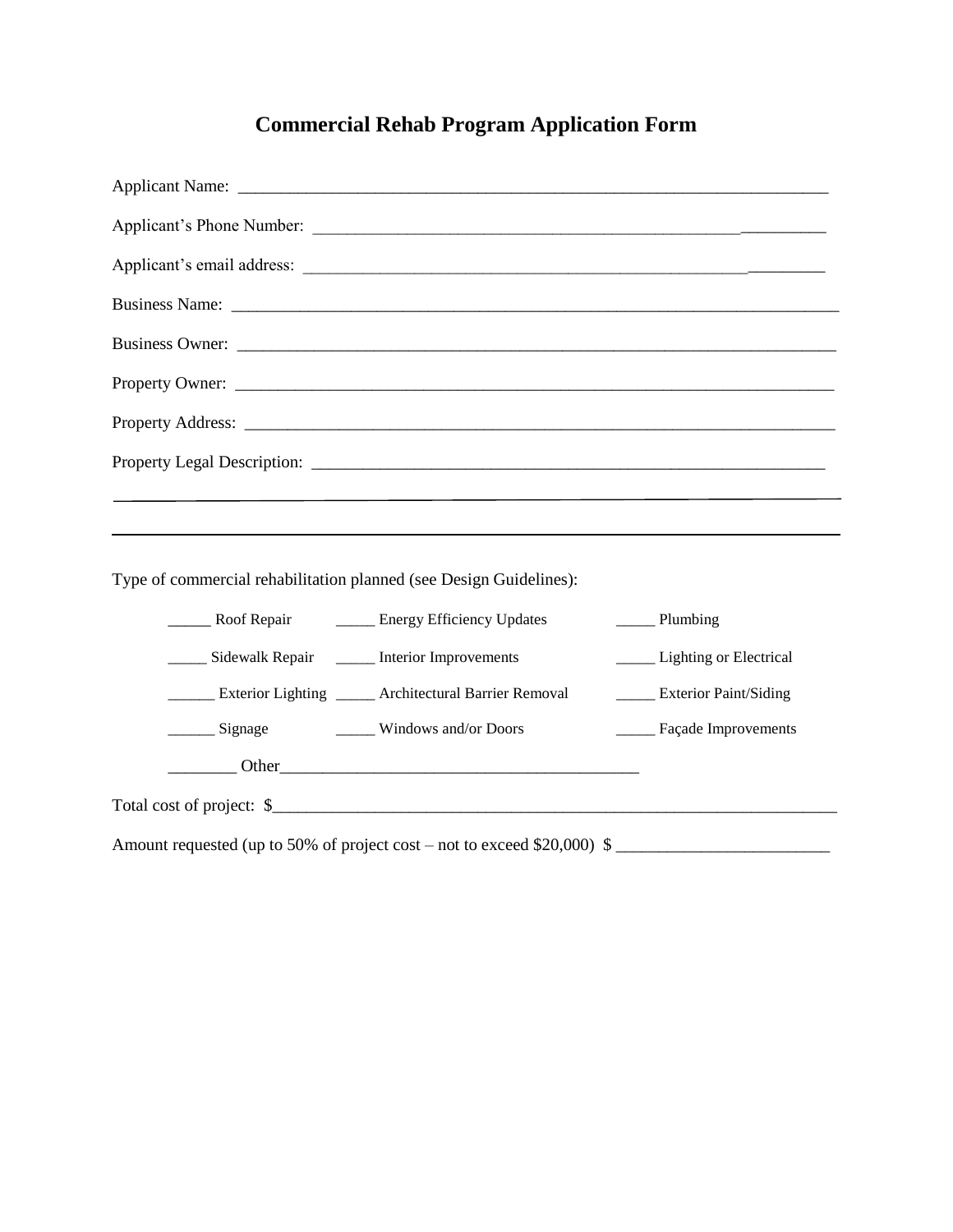## **Commercial Rehab Program Application Form**

|                                                                    | Applicant's email address:                                               |                                                                   |
|--------------------------------------------------------------------|--------------------------------------------------------------------------|-------------------------------------------------------------------|
|                                                                    |                                                                          |                                                                   |
|                                                                    | Business Owner:                                                          |                                                                   |
|                                                                    |                                                                          |                                                                   |
|                                                                    |                                                                          |                                                                   |
|                                                                    |                                                                          |                                                                   |
|                                                                    |                                                                          |                                                                   |
|                                                                    |                                                                          |                                                                   |
|                                                                    |                                                                          |                                                                   |
| Type of commercial rehabilitation planned (see Design Guidelines): |                                                                          |                                                                   |
|                                                                    | ______ Roof Repair _______ Energy Efficiency Updates                     | $\frac{1}{\sqrt{1-\frac{1}{2}}\sqrt{1-\frac{1}{2}}\sinh(\theta)}$ |
| ______ Sidewalk Repair ______ Interior Improvements                |                                                                          | _____ Lighting or Electrical                                      |
|                                                                    | ______ Exterior Lighting _____ Architectural Barrier Removal             | _____ Exterior Paint/Siding                                       |
|                                                                    |                                                                          | _____ Façade Improvements                                         |
|                                                                    |                                                                          |                                                                   |
|                                                                    | Total cost of project: \$                                                |                                                                   |
|                                                                    | Amount requested (up to 50% of project cost – not to exceed \$20,000) \$ |                                                                   |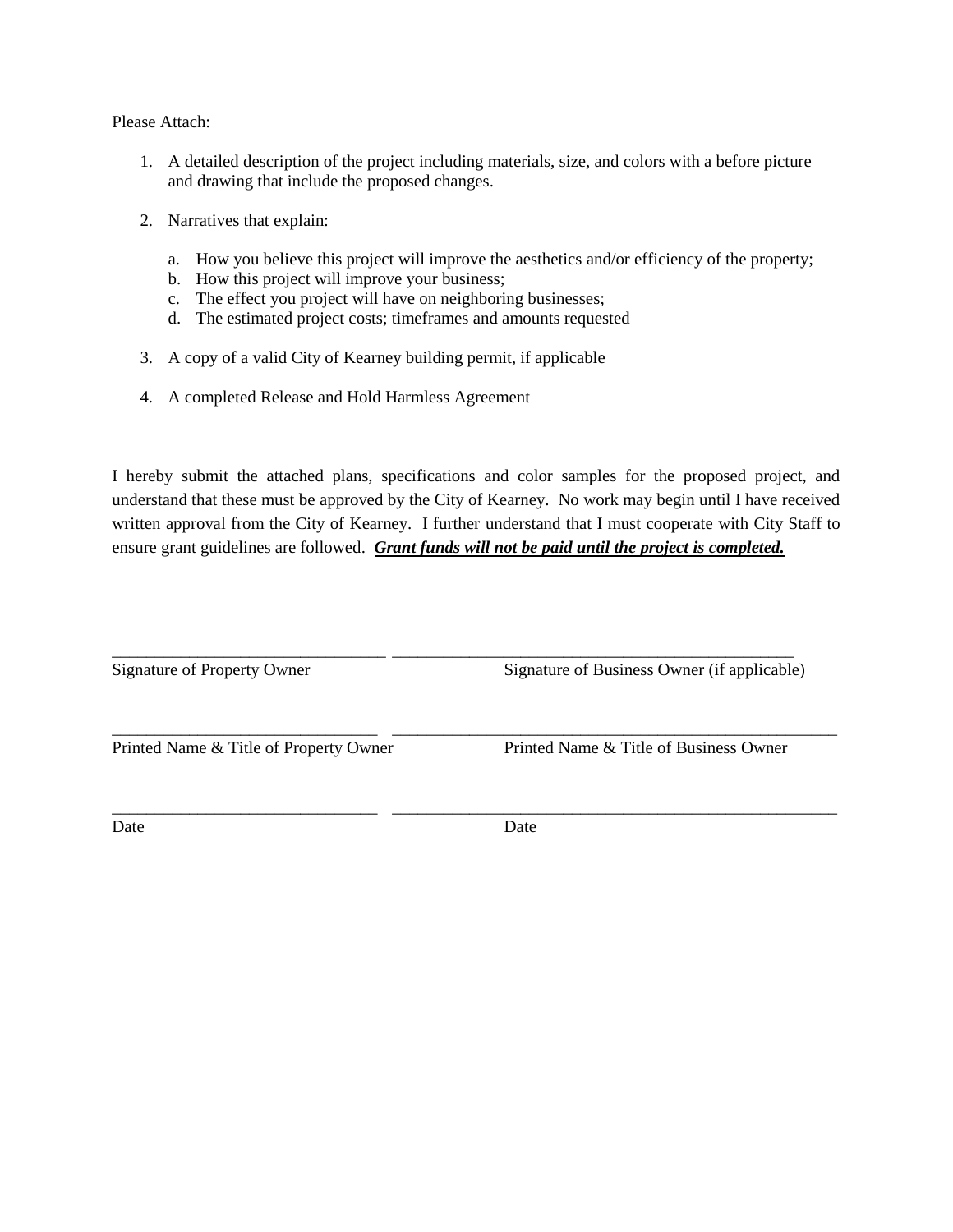#### Please Attach:

- 1. A detailed description of the project including materials, size, and colors with a before picture and drawing that include the proposed changes.
- 2. Narratives that explain:
	- a. How you believe this project will improve the aesthetics and/or efficiency of the property;
	- b. How this project will improve your business;
	- c. The effect you project will have on neighboring businesses;
	- d. The estimated project costs; timeframes and amounts requested
- 3. A copy of a valid City of Kearney building permit, if applicable
- 4. A completed Release and Hold Harmless Agreement

I hereby submit the attached plans, specifications and color samples for the proposed project, and understand that these must be approved by the City of Kearney. No work may begin until I have received written approval from the City of Kearney. I further understand that I must cooperate with City Staff to ensure grant guidelines are followed. *Grant funds will not be paid until the project is completed.*

| Signature of Property Owner            | Signature of Business Owner (if applicable) |
|----------------------------------------|---------------------------------------------|
| Printed Name & Title of Property Owner | Printed Name & Title of Business Owner      |
| Date                                   | Date                                        |